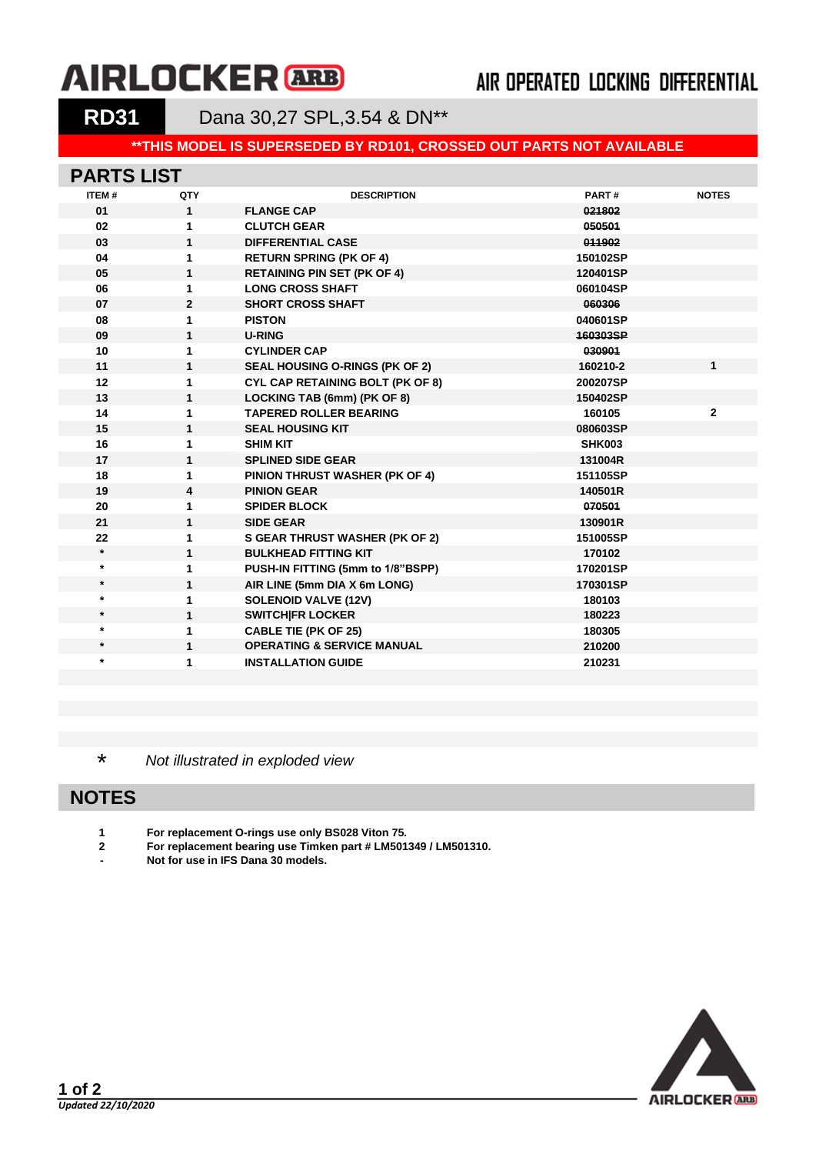# **AIRLOCKER** ARB

### AIR OPERATED LOCKING DIFFERENTIAL

**RD31** Dana 30,27 SPL,3.54 & DN\*\*

#### **\*\*THIS MODEL IS SUPERSEDED BY RD101, CROSSED OUT PARTS NOT AVAILABLE**

#### **PARTS LIST**

| <b>ITEM#</b> | QTY          | <b>DESCRIPTION</b>                      | PART#         | <b>NOTES</b> |
|--------------|--------------|-----------------------------------------|---------------|--------------|
| 01           | $\mathbf{1}$ | <b>FLANGE CAP</b>                       | 021802        |              |
| 02           | 1            | <b>CLUTCH GEAR</b>                      | 050501        |              |
| 03           | $\mathbf{1}$ | <b>DIFFERENTIAL CASE</b>                | 011902        |              |
| 04           | 1            | <b>RETURN SPRING (PK OF 4)</b>          | 150102SP      |              |
| 05           | 1            | <b>RETAINING PIN SET (PK OF 4)</b>      | 120401SP      |              |
| 06           | 1            | <b>LONG CROSS SHAFT</b>                 | 060104SP      |              |
| 07           | $\mathbf{2}$ | <b>SHORT CROSS SHAFT</b>                | 060306        |              |
| 08           | 1            | <b>PISTON</b>                           | 040601SP      |              |
| 09           | $\mathbf{1}$ | <b>U-RING</b>                           | 160303SP      |              |
| 10           | 1            | <b>CYLINDER CAP</b>                     | 030901        |              |
| 11           | $\mathbf{1}$ | <b>SEAL HOUSING O-RINGS (PK OF 2)</b>   | 160210-2      | $\mathbf{1}$ |
| 12           | 1            | <b>CYL CAP RETAINING BOLT (PK OF 8)</b> | 200207SP      |              |
| 13           | $\mathbf{1}$ | LOCKING TAB (6mm) (PK OF 8)             | 150402SP      |              |
| 14           | 1            | <b>TAPERED ROLLER BEARING</b>           | 160105        | $\mathbf{2}$ |
| 15           | 1            | <b>SEAL HOUSING KIT</b>                 | 080603SP      |              |
| 16           | 1            | <b>SHIM KIT</b>                         | <b>SHK003</b> |              |
| 17           | 1            | <b>SPLINED SIDE GEAR</b>                | 131004R       |              |
| 18           | 1            | <b>PINION THRUST WASHER (PK OF 4)</b>   | 151105SP      |              |
| 19           | 4            | <b>PINION GEAR</b>                      | 140501R       |              |
| 20           | 1            | <b>SPIDER BLOCK</b>                     | 070501        |              |
| 21           | 1            | <b>SIDE GEAR</b>                        | 130901R       |              |
| 22           | 1            | <b>S GEAR THRUST WASHER (PK OF 2)</b>   | 151005SP      |              |
| $\star$      | 1            | <b>BULKHEAD FITTING KIT</b>             | 170102        |              |
| $\star$      | 1            | PUSH-IN FITTING (5mm to 1/8"BSPP)       | 170201SP      |              |
| $\star$      | 1            | AIR LINE (5mm DIA X 6m LONG)            | 170301SP      |              |
| $\star$      | 1            | <b>SOLENOID VALVE (12V)</b>             | 180103        |              |
| $\star$      | 1            | <b>SWITCHIFR LOCKER</b>                 | 180223        |              |
| $\star$      | 1            | <b>CABLE TIE (PK OF 25)</b>             | 180305        |              |
| $\star$      | $\mathbf{1}$ | <b>OPERATING &amp; SERVICE MANUAL</b>   | 210200        |              |
| $\ast$       | 1            | <b>INSTALLATION GUIDE</b>               | 210231        |              |
|              |              |                                         |               |              |

\* *Not illustrated in exploded view*

### **NOTES**

- **1 For replacement O-rings use only BS028 Viton 75.**
- **2 For replacement bearing use Timken part # LM501349 / LM501310.**
- **- Not for use in IFS Dana 30 models.**